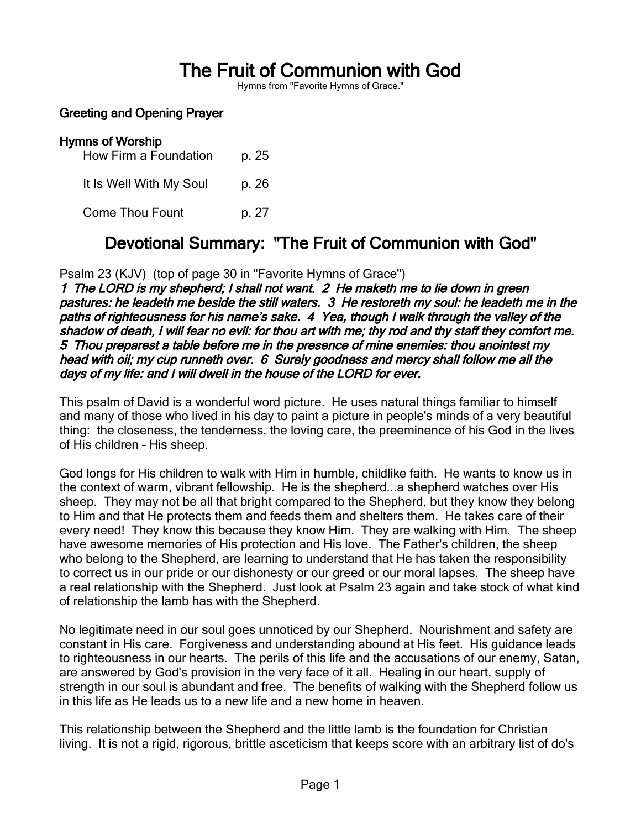# The Fruit of Communion with God

Hymns from "Favorite Hymns of Grace."

#### Greeting and Opening Prayer

# Hymns of Worship

How Firm a Foundation p. 25 It Is Well With My Soul p. 26 Come Thou Fount p. 27

# Devotional Summary: "The Fruit of Communion with God"

Psalm 23 (KJV) (top of page 30 in "Favorite Hymns of Grace")

1 The LORD is my shepherd; I shall not want. 2 He maketh me to lie down in green pastures: he leadeth me beside the still waters. 3 He restoreth my soul: he leadeth me in the paths of righteousness for his name's sake. 4 Yea, though I walk through the valley of the shadow of death, I will fear no evil: for thou art with me; thy rod and thy staff they comfort me. 5 Thou preparest a table before me in the presence of mine enemies: thou anointest my head with oil; my cup runneth over. 6 Surely goodness and mercy shall follow me all the days of my life: and I will dwell in the house of the LORD for ever.

This psalm of David is a wonderful word picture. He uses natural things familiar to himself and many of those who lived in his day to paint a picture in people's minds of a very beautiful thing: the closeness, the tenderness, the loving care, the preeminence of his God in the lives of His children – His sheep.

God longs for His children to walk with Him in humble, childlike faith. He wants to know us in the context of warm, vibrant fellowship. He is the shepherd...a shepherd watches over His sheep. They may not be all that bright compared to the Shepherd, but they know they belong to Him and that He protects them and feeds them and shelters them. He takes care of their every need! They know this because they know Him. They are walking with Him. The sheep have awesome memories of His protection and His love. The Father's children, the sheep who belong to the Shepherd, are learning to understand that He has taken the responsibility to correct us in our pride or our dishonesty or our greed or our moral lapses. The sheep have a real relationship with the Shepherd. Just look at Psalm 23 again and take stock of what kind of relationship the lamb has with the Shepherd.

No legitimate need in our soul goes unnoticed by our Shepherd. Nourishment and safety are constant in His care. Forgiveness and understanding abound at His feet. His guidance leads to righteousness in our hearts. The perils of this life and the accusations of our enemy, Satan, are answered by God's provision in the very face of it all. Healing in our heart, supply of strength in our soul is abundant and free. The benefits of walking with the Shepherd follow us in this life as He leads us to a new life and a new home in heaven.

This relationship between the Shepherd and the little lamb is the foundation for Christian living. It is not a rigid, rigorous, brittle asceticism that keeps score with an arbitrary list of do's